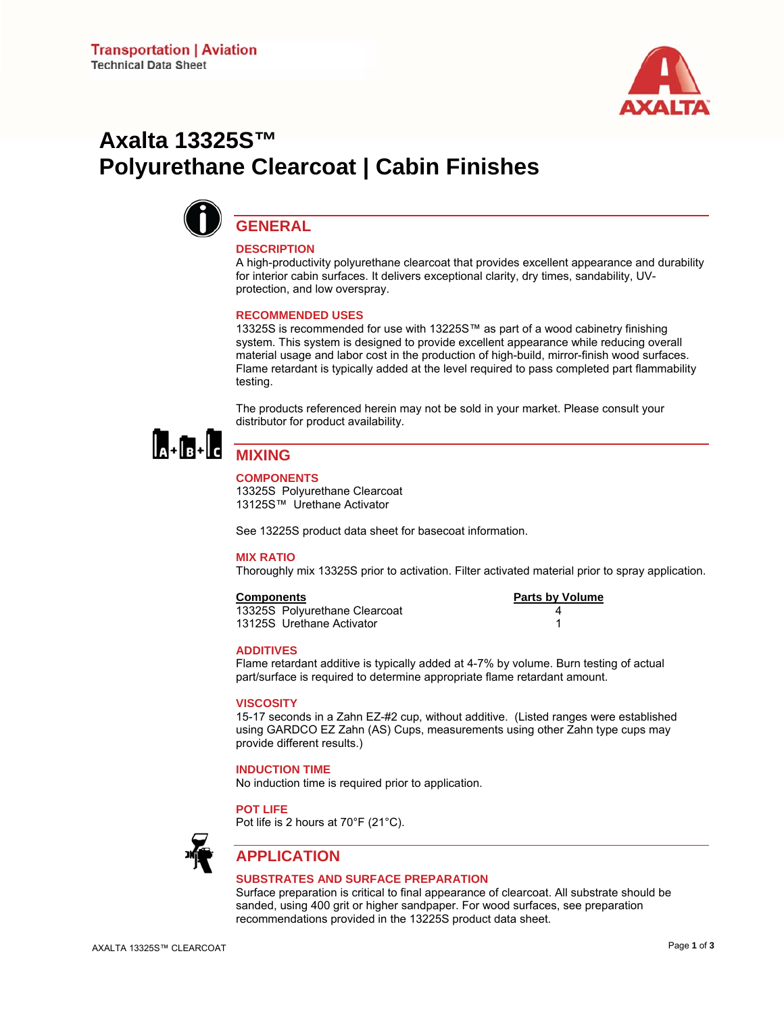

# **Axalta 13325S™ Polyurethane Clearcoat | Cabin Finishes**



# **GENERAL**

### **DESCRIPTION**

A high-productivity polyurethane clearcoat that provides excellent appearance and durability for interior cabin surfaces. It delivers exceptional clarity, dry times, sandability, UVprotection, and low overspray.

#### **RECOMMENDED USES**

13325S is recommended for use with 13225S™ as part of a wood cabinetry finishing system. This system is designed to provide excellent appearance while reducing overall material usage and labor cost in the production of high-build, mirror-finish wood surfaces. Flame retardant is typically added at the level required to pass completed part flammability testing.

The products referenced herein may not be sold in your market. Please consult your distributor for product availability.



# **MIXING**

#### **COMPONENTS**

13325S Polyurethane Clearcoat 13125S™ Urethane Activator

See 13225S product data sheet for basecoat information.

#### **MIX RATIO**

Thoroughly mix 13325S prior to activation. Filter activated material prior to spray application.

#### **Components**

13325S Polyurethane Clearcoat 13125S Urethane Activator 1

|   | Parts by Volume |
|---|-----------------|
| 4 |                 |
|   |                 |

#### **ADDITIVES**

Flame retardant additive is typically added at 4-7% by volume. Burn testing of actual part/surface is required to determine appropriate flame retardant amount.

#### **VISCOSITY**

15-17 seconds in a Zahn EZ-#2 cup, without additive. (Listed ranges were established using GARDCO EZ Zahn (AS) Cups, measurements using other Zahn type cups may provide different results.)

#### **INDUCTION TIME**

No induction time is required prior to application.

**POT LIFE** 

Pot life is 2 hours at 70°F (21°C).



# **APPLICATION**

#### **SUBSTRATES AND SURFACE PREPARATION**

Surface preparation is critical to final appearance of clearcoat. All substrate should be sanded, using 400 grit or higher sandpaper. For wood surfaces, see preparation recommendations provided in the 13225S product data sheet.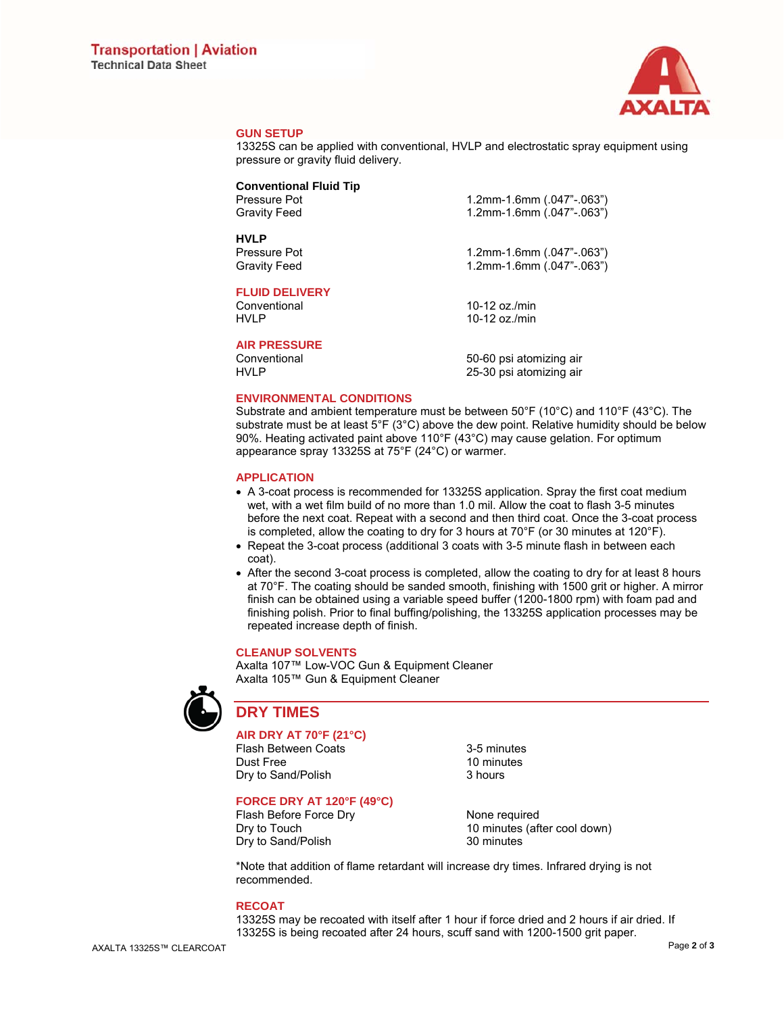

#### **GUN SETUP**

13325S can be applied with conventional, HVLP and electrostatic spray equipment using pressure or gravity fluid delivery.

## **Conventional Fluid Tip**

**HVLP** 

**FLUID DELIVERY** 

Conventional 10-12 oz./min<br>
HVI P 10-12 oz./min

**AIR PRESSURE** 

Pressure Pot 1.2mm-1.6mm (.047"-.063") Gravity Feed 1.2mm-1.6mm (.047"-.063")

Pressure Pot 1.2mm-1.6mm (.047"-.063") Gravity Feed 1.2mm-1.6mm (.047"-.063")

10-12 oz./ $min$ 

50-60 psi atomizing air HVLP 25-30 psi atomizing air

#### **ENVIRONMENTAL CONDITIONS**

Substrate and ambient temperature must be between 50°F (10°C) and 110°F (43°C). The substrate must be at least  $5^{\circ}F(3^{\circ}C)$  above the dew point. Relative humidity should be below 90%. Heating activated paint above 110°F (43°C) may cause gelation. For optimum appearance spray 13325S at 75°F (24°C) or warmer.

#### **APPLICATION**

- A 3-coat process is recommended for 13325S application. Spray the first coat medium wet, with a wet film build of no more than 1.0 mil. Allow the coat to flash 3-5 minutes before the next coat. Repeat with a second and then third coat. Once the 3-coat process is completed, allow the coating to dry for 3 hours at  $70^{\circ}$ F (or 30 minutes at 120 $^{\circ}$ F).
- Repeat the 3-coat process (additional 3 coats with 3-5 minute flash in between each coat).
- After the second 3-coat process is completed, allow the coating to dry for at least 8 hours at 70°F. The coating should be sanded smooth, finishing with 1500 grit or higher. A mirror finish can be obtained using a variable speed buffer (1200-1800 rpm) with foam pad and finishing polish. Prior to final buffing/polishing, the 13325S application processes may be repeated increase depth of finish.

#### **CLEANUP SOLVENTS**

Axalta 107™ Low-VOC Gun & Equipment Cleaner Axalta 105™ Gun & Equipment Cleaner



# **DRY TIMES**

### **AIR DRY AT 70°F (21°C)**

Flash Between Coats<br>
Dust Free 10 minutes Dry to Sand/Polish

10 minutes<br>3 hours

## **FORCE DRY AT 120°F (49°C)**

Dry to Sand/Polish 30 minutes

Flash Before Force Drv None required Dry to Touch 10 minutes (after cool down)

\*Note that addition of flame retardant will increase dry times. Infrared drying is not recommended.

#### **RECOAT**

13325S may be recoated with itself after 1 hour if force dried and 2 hours if air dried. If 13325S is being recoated after 24 hours, scuff sand with 1200-1500 grit paper.